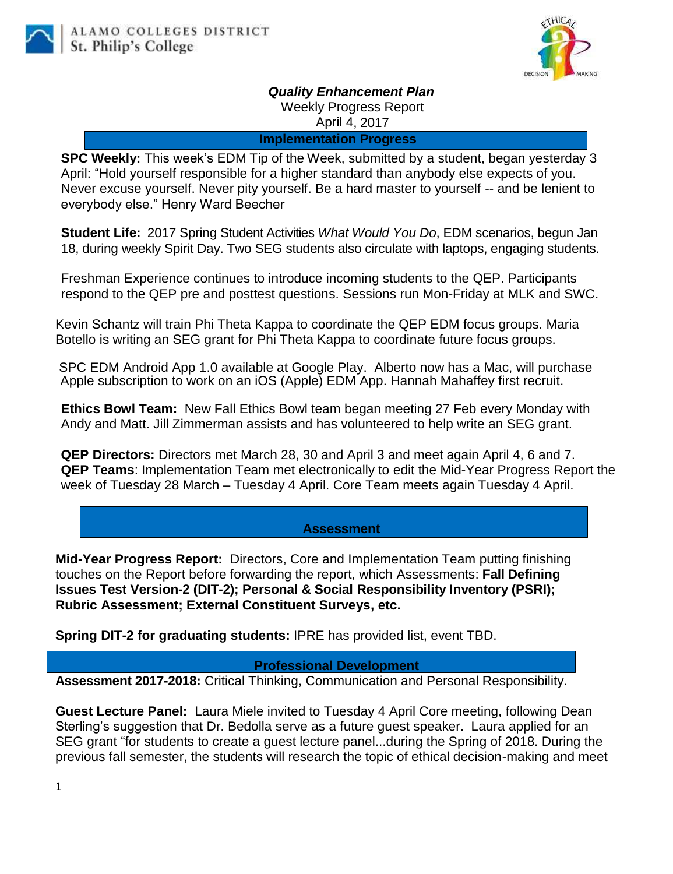

*Quality Enhancement Plan*

Weekly Progress Report

April 4, 2017

**Implementation Progress**

**SPC Weekly:** This week's EDM Tip of the Week, submitted by a student, began yesterday 3 April: "Hold yourself responsible for a higher standard than anybody else expects of you. Never excuse yourself. Never pity yourself. Be a hard master to yourself -- and be lenient to everybody else." Henry Ward Beecher

**Student Life:** 2017 Spring Student Activities *What Would You Do*, EDM scenarios, begun Jan 18, during weekly Spirit Day. Two SEG students also circulate with laptops, engaging students.

Freshman Experience continues to introduce incoming students to the QEP. Participants respond to the QEP pre and posttest questions. Sessions run Mon-Friday at MLK and SWC.

Kevin Schantz will train Phi Theta Kappa to coordinate the QEP EDM focus groups. Maria Botello is writing an SEG grant for Phi Theta Kappa to coordinate future focus groups.

SPC EDM Android App 1.0 available at Google Play. Alberto now has a Mac, will purchase Apple subscription to work on an iOS (Apple) EDM App. Hannah Mahaffey first recruit.

**Ethics Bowl Team:** New Fall Ethics Bowl team began meeting 27 Feb every Monday with Andy and Matt. Jill Zimmerman assists and has volunteered to help write an SEG grant.

**QEP Directors:** Directors met March 28, 30 and April 3 and meet again April 4, 6 and 7. **QEP Teams**: Implementation Team met electronically to edit the Mid-Year Progress Report the week of Tuesday 28 March – Tuesday 4 April. Core Team meets again Tuesday 4 April.

## **Assessment**

**Mid-Year Progress Report:** Directors, Core and Implementation Team putting finishing touches on the Report before forwarding the report, which Assessments: **Fall Defining Issues Test Version-2 (DIT-2); Personal & Social Responsibility Inventory (PSRI); Rubric Assessment; External Constituent Surveys, etc.**

**Spring DIT-2 for graduating students:** IPRE has provided list, event TBD.

**Professional Development**

**Assessment 2017-2018:** Critical Thinking, Communication and Personal Responsibility.

**Guest Lecture Panel:** Laura Miele invited to Tuesday 4 April Core meeting, following Dean Sterling's suggestion that Dr. Bedolla serve as a future guest speaker. Laura applied for an SEG grant "for students to create a guest lecture panel...during the Spring of 2018. During the previous fall semester, the students will research the topic of ethical decision-making and meet